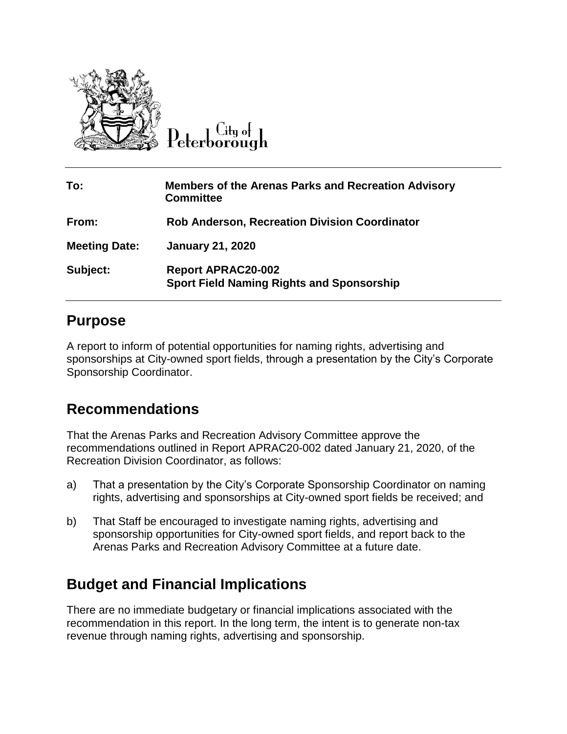

City of

| To:                  | <b>Members of the Arenas Parks and Recreation Advisory</b><br><b>Committee</b> |
|----------------------|--------------------------------------------------------------------------------|
| From:                | <b>Rob Anderson, Recreation Division Coordinator</b>                           |
| <b>Meeting Date:</b> | <b>January 21, 2020</b>                                                        |
| Subject:             | <b>Report APRAC20-002</b><br><b>Sport Field Naming Rights and Sponsorship</b>  |

#### **Purpose**

A report to inform of potential opportunities for naming rights, advertising and sponsorships at City-owned sport fields, through a presentation by the City's Corporate Sponsorship Coordinator.

## **Recommendations**

That the Arenas Parks and Recreation Advisory Committee approve the recommendations outlined in Report APRAC20-002 dated January 21, 2020, of the Recreation Division Coordinator, as follows:

- a) That a presentation by the City's Corporate Sponsorship Coordinator on naming rights, advertising and sponsorships at City-owned sport fields be received; and
- b) That Staff be encouraged to investigate naming rights, advertising and sponsorship opportunities for City-owned sport fields, and report back to the Arenas Parks and Recreation Advisory Committee at a future date.

## **Budget and Financial Implications**

There are no immediate budgetary or financial implications associated with the recommendation in this report. In the long term, the intent is to generate non-tax revenue through naming rights, advertising and sponsorship.